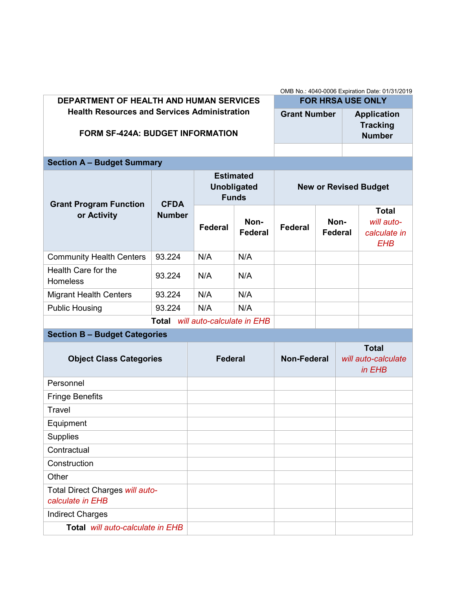|                                                                                                | OMB No.: 4040-0006 Expiration Date: 01/31/2019 |                                                        |                        |                              |                          |                                               |                                                          |  |  |  |  |
|------------------------------------------------------------------------------------------------|------------------------------------------------|--------------------------------------------------------|------------------------|------------------------------|--------------------------|-----------------------------------------------|----------------------------------------------------------|--|--|--|--|
| <b>DEPARTMENT OF HEALTH AND HUMAN SERVICES</b>                                                 |                                                |                                                        |                        |                              | <b>FOR HRSA USE ONLY</b> |                                               |                                                          |  |  |  |  |
| <b>Health Resources and Services Administration</b><br><b>FORM SF-424A: BUDGET INFORMATION</b> |                                                |                                                        |                        |                              | <b>Grant Number</b>      |                                               | <b>Application</b><br><b>Tracking</b><br><b>Number</b>   |  |  |  |  |
|                                                                                                |                                                |                                                        |                        |                              |                          |                                               |                                                          |  |  |  |  |
| <b>Section A - Budget Summary</b>                                                              |                                                |                                                        |                        |                              |                          |                                               |                                                          |  |  |  |  |
| <b>Grant Program Function</b><br>or Activity                                                   | <b>CFDA</b>                                    | <b>Estimated</b><br><b>Unobligated</b><br><b>Funds</b> |                        | <b>New or Revised Budget</b> |                          |                                               |                                                          |  |  |  |  |
|                                                                                                | <b>Number</b>                                  | <b>Federal</b>                                         | Non-<br><b>Federal</b> | Federal                      | Non-<br><b>Federal</b>   |                                               | <b>Total</b><br>will auto-<br>calculate in<br><b>EHB</b> |  |  |  |  |
| <b>Community Health Centers</b>                                                                | 93.224                                         | N/A                                                    | N/A                    |                              |                          |                                               |                                                          |  |  |  |  |
| Health Care for the<br>Homeless                                                                | 93.224                                         | N/A                                                    | N/A                    |                              |                          |                                               |                                                          |  |  |  |  |
| <b>Migrant Health Centers</b>                                                                  | 93.224                                         | N/A                                                    | N/A                    |                              |                          |                                               |                                                          |  |  |  |  |
| <b>Public Housing</b>                                                                          | 93.224                                         | N/A                                                    | N/A                    |                              |                          |                                               |                                                          |  |  |  |  |
|                                                                                                | <b>Total</b>                                   | will auto-calculate in EHB                             |                        |                              |                          |                                               |                                                          |  |  |  |  |
| <b>Section B - Budget Categories</b>                                                           |                                                |                                                        |                        |                              |                          |                                               |                                                          |  |  |  |  |
| <b>Object Class Categories</b>                                                                 |                                                | <b>Federal</b>                                         |                        | <b>Non-Federal</b>           |                          | <b>Total</b><br>will auto-calculate<br>in EHB |                                                          |  |  |  |  |
| Personnel                                                                                      |                                                |                                                        |                        |                              |                          |                                               |                                                          |  |  |  |  |
| <b>Fringe Benefits</b>                                                                         |                                                |                                                        |                        |                              |                          |                                               |                                                          |  |  |  |  |
| <b>Travel</b>                                                                                  |                                                |                                                        |                        |                              |                          |                                               |                                                          |  |  |  |  |
| Equipment                                                                                      |                                                |                                                        |                        |                              |                          |                                               |                                                          |  |  |  |  |
| <b>Supplies</b>                                                                                |                                                |                                                        |                        |                              |                          |                                               |                                                          |  |  |  |  |
| Contractual                                                                                    |                                                |                                                        |                        |                              |                          |                                               |                                                          |  |  |  |  |
| Construction                                                                                   |                                                |                                                        |                        |                              |                          |                                               |                                                          |  |  |  |  |
| Other<br>Total Direct Charges will auto-                                                       |                                                |                                                        |                        |                              |                          |                                               |                                                          |  |  |  |  |
| calculate in EHB                                                                               |                                                |                                                        |                        |                              |                          |                                               |                                                          |  |  |  |  |
| <b>Indirect Charges</b>                                                                        |                                                |                                                        |                        |                              |                          |                                               |                                                          |  |  |  |  |
| Total will auto-calculate in EHB                                                               |                                                |                                                        |                        |                              |                          |                                               |                                                          |  |  |  |  |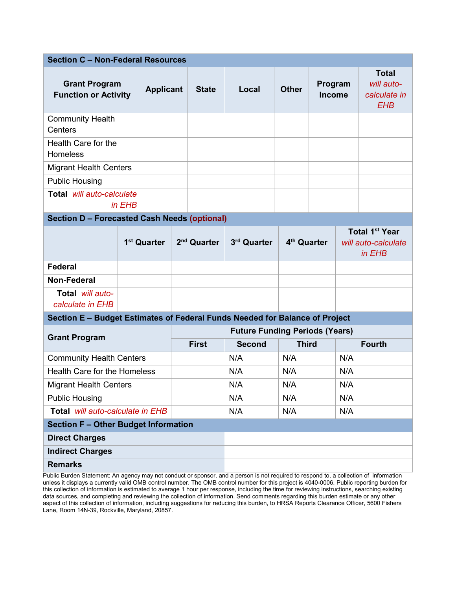| <b>Section C - Non-Federal Resources</b>                                    |        |                         |              |                         |                                       |                         |     |                                                             |     |  |  |
|-----------------------------------------------------------------------------|--------|-------------------------|--------------|-------------------------|---------------------------------------|-------------------------|-----|-------------------------------------------------------------|-----|--|--|
| <b>Grant Program</b><br><b>Applicant</b><br><b>Function or Activity</b>     |        |                         | <b>State</b> | Local                   | <b>Other</b>                          | Program<br>Income       |     | <b>Total</b><br>will auto-<br>calculate in<br><b>EHB</b>    |     |  |  |
| <b>Community Health</b><br>Centers                                          |        |                         |              |                         |                                       |                         |     |                                                             |     |  |  |
| Health Care for the<br>Homeless                                             |        |                         |              |                         |                                       |                         |     |                                                             |     |  |  |
| <b>Migrant Health Centers</b>                                               |        |                         |              |                         |                                       |                         |     |                                                             |     |  |  |
| <b>Public Housing</b>                                                       |        |                         |              |                         |                                       |                         |     |                                                             |     |  |  |
| Total will auto-calculate                                                   | in EHB |                         |              |                         |                                       |                         |     |                                                             |     |  |  |
| <b>Section D - Forecasted Cash Needs (optional)</b>                         |        |                         |              |                         |                                       |                         |     |                                                             |     |  |  |
|                                                                             |        | 1 <sup>st</sup> Quarter |              | 2 <sup>nd</sup> Quarter | 3rd Quarter                           | 4 <sup>th</sup> Quarter |     | Total 1 <sup>st</sup> Year<br>will auto-calculate<br>in EHB |     |  |  |
| <b>Federal</b>                                                              |        |                         |              |                         |                                       |                         |     |                                                             |     |  |  |
| Non-Federal                                                                 |        |                         |              |                         |                                       |                         |     |                                                             |     |  |  |
| Total will auto-<br>calculate in EHB                                        |        |                         |              |                         |                                       |                         |     |                                                             |     |  |  |
| Section E - Budget Estimates of Federal Funds Needed for Balance of Project |        |                         |              |                         |                                       |                         |     |                                                             |     |  |  |
| <b>Grant Program</b>                                                        |        |                         |              |                         | <b>Future Funding Periods (Years)</b> |                         |     |                                                             |     |  |  |
|                                                                             |        |                         |              | <b>First</b>            | <b>Second</b>                         | <b>Third</b>            |     | <b>Fourth</b>                                               |     |  |  |
| <b>Community Health Centers</b>                                             |        |                         |              |                         | N/A                                   | N/A                     |     | N/A                                                         |     |  |  |
| Health Care for the Homeless                                                |        |                         |              |                         | N/A                                   | N/A                     |     |                                                             | N/A |  |  |
| <b>Migrant Health Centers</b>                                               |        |                         |              |                         | N/A                                   | N/A                     |     | N/A                                                         |     |  |  |
| <b>Public Housing</b>                                                       |        |                         |              | N/A                     | N/A                                   |                         | N/A |                                                             |     |  |  |
| Total will auto-calculate in EHB                                            |        |                         |              | N/A                     | N/A                                   |                         | N/A |                                                             |     |  |  |
| <b>Section F - Other Budget Information</b>                                 |        |                         |              |                         |                                       |                         |     |                                                             |     |  |  |
| <b>Direct Charges</b>                                                       |        |                         |              |                         |                                       |                         |     |                                                             |     |  |  |
| <b>Indirect Charges</b>                                                     |        |                         |              |                         |                                       |                         |     |                                                             |     |  |  |
| <b>Remarks</b>                                                              |        |                         |              |                         |                                       |                         |     |                                                             |     |  |  |

Public Burden Statement: An agency may not conduct or sponsor, and a person is not required to respond to, a collection of information unless it displays a currently valid OMB control number. The OMB control number for this project is 4040-0006. Public reporting burden for this collection of information is estimated to average 1 hour per response, including the time for reviewing instructions, searching existing data sources, and completing and reviewing the collection of information. Send comments regarding this burden estimate or any other aspect of this collection of information, including suggestions for reducing this burden, to HRSA Reports Clearance Officer, 5600 Fishers Lane, Room 14N-39, Rockville, Maryland, 20857.